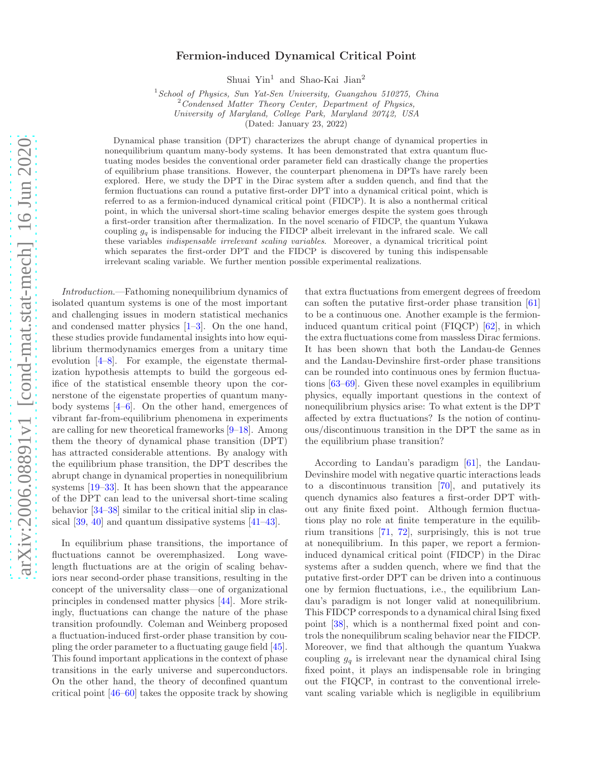# Fermion-induced Dynamical Critical Point

Shuai Yin<sup>1</sup> and Shao-Kai Jian<sup>2</sup>

 $1$  School of Physics, Sun Yat-Sen University, Guangzhou 510275, China

<sup>2</sup> Condensed Matter Theory Center, Department of Physics,

University of Maryland, College Park, Maryland 20742, USA

(Dated: January 23, 2022)

Dynamical phase transition (DPT) characterizes the abrupt change of dynamical properties in nonequilibrium quantum many-body systems. It has been demonstrated that extra quantum fluctuating modes besides the conventional order parameter field can drastically change the properties of equilibrium phase transitions. However, the counterpart phenomena in DPTs have rarely been explored. Here, we study the DPT in the Dirac system after a sudden quench, and find that the fermion fluctuations can round a putative first-order DPT into a dynamical critical point, which is referred to as a fermion-induced dynamical critical point (FIDCP). It is also a nonthermal critical point, in which the universal short-time scaling behavior emerges despite the system goes through a first-order transition after thermalization. In the novel scenario of FIDCP, the quantum Yukawa coupling  $g_q$  is indispensable for inducing the FIDCP albeit irrelevant in the infrared scale. We call these variables indispensable irrelevant scaling variables. Moreover, a dynamical tricritical point which separates the first-order DPT and the FIDCP is discovered by tuning this indispensable irrelevant scaling variable. We further mention possible experimental realizations.

Introduction.—Fathoming nonequilibrium dynamics of isolated quantum systems is one of the most important and challenging issues in modern statistical mechanics and condensed matter physics [\[1](#page-4-0)[–3\]](#page-4-1). On the one hand, these studies provide fundamental insights into how equilibrium thermodynamics emerges from a unitary time evolution  $[4-8]$ . For example, the eigenstate thermalization hypothesis attempts to build the gorgeous edifice of the statistical ensemble theory upon the cornerstone of the eigenstate properties of quantum manybody systems [\[4](#page-4-2)[–6](#page-4-4)]. On the other hand, emergences of vibrant far-from-equilibrium phenomena in experiments are calling for new theoretical frameworks [\[9](#page-4-5)[–18](#page-4-6)]. Among them the theory of dynamical phase transition (DPT) has attracted considerable attentions. By analogy with the equilibrium phase transition, the DPT describes the abrupt change in dynamical properties in nonequilibrium systems [\[19](#page-4-7)[–33\]](#page-4-8). It has been shown that the appearance of the DPT can lead to the universal short-time scaling behavior [\[34](#page-4-9)[–38](#page-4-10)] similar to the critical initial slip in classical [\[39,](#page-4-11) [40](#page-4-12)] and quantum dissipative systems [\[41](#page-4-13)[–43\]](#page-4-14).

In equilibrium phase transitions, the importance of fluctuations cannot be overemphasized. Long wavelength fluctuations are at the origin of scaling behaviors near second-order phase transitions, resulting in the concept of the universality class—one of organizational principles in condensed matter physics [\[44](#page-4-15)]. More strikingly, fluctuations can change the nature of the phase transition profoundly. Coleman and Weinberg proposed a fluctuation-induced first-order phase transition by coupling the order parameter to a fluctuating gauge field [\[45\]](#page-4-16). This found important applications in the context of phase transitions in the early universe and superconductors. On the other hand, the theory of deconfined quantum critical point [\[46](#page-4-17)[–60\]](#page-5-0) takes the opposite track by showing

that extra fluctuations from emergent degrees of freedom can soften the putative first-order phase transition [\[61](#page-5-1)] to be a continuous one. Another example is the fermioninduced quantum critical point (FIQCP) [\[62\]](#page-5-2), in which the extra fluctuations come from massless Dirac fermions. It has been shown that both the Landau-de Gennes and the Landau-Devinshire first-order phase transitions can be rounded into continuous ones by fermion fluctuations [\[63](#page-5-3)[–69\]](#page-5-4). Given these novel examples in equilibrium physics, equally important questions in the context of nonequilibrium physics arise: To what extent is the DPT affected by extra fluctuations? Is the notion of continuous/discontinuous transition in the DPT the same as in the equilibrium phase transition?

According to Landau's paradigm [\[61](#page-5-1)], the Landau-Devinshire model with negative quartic interactions leads to a discontinuous transition [\[70\]](#page-5-5), and putatively its quench dynamics also features a first-order DPT without any finite fixed point. Although fermion fluctuations play no role at finite temperature in the equilibrium transitions [\[71](#page-5-6), [72\]](#page-5-7), surprisingly, this is not true at nonequilibrium. In this paper, we report a fermioninduced dynamical critical point (FIDCP) in the Dirac systems after a sudden quench, where we find that the putative first-order DPT can be driven into a continuous one by fermion fluctuations, i.e., the equilibrium Landau's paradigm is not longer valid at nonequilibrium. This FIDCP corresponds to a dynamical chiral Ising fixed point [\[38\]](#page-4-10), which is a nonthermal fixed point and controls the nonequilibrum scaling behavior near the FIDCP. Moreover, we find that although the quantum Yuakwa coupling  $g_q$  is irrelevant near the dynamical chiral Ising fixed point, it plays an indispensable role in bringing out the FIQCP, in contrast to the conventional irrelevant scaling variable which is negligible in equilibrium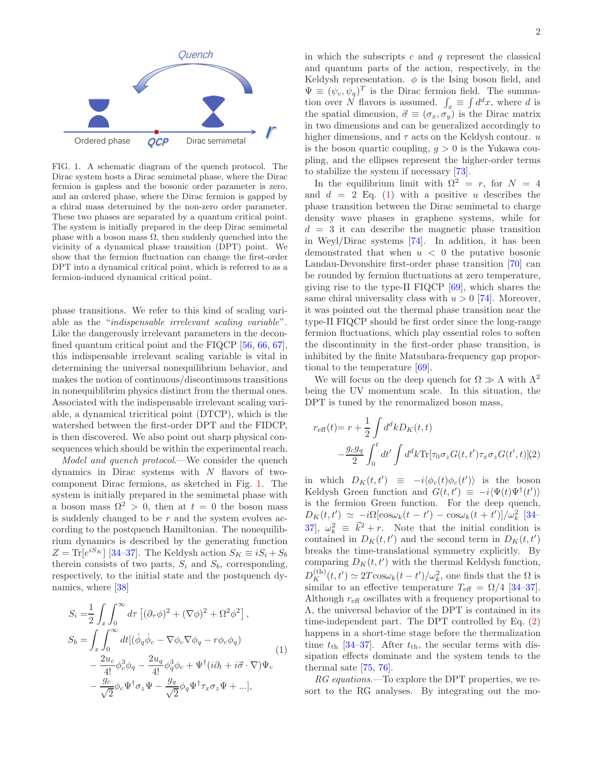

FIG. 1. A schematic diagram of the quench protocol. The Dirac system hosts a Dirac semimetal phase, where the Dirac fermion is gapless and the bosonic order parameter is zero, and an ordered phase, where the Dirac fermion is gapped by a chiral mass determined by the non-zero order parameter. These two phases are separated by a quantum critical point. The system is initially prepared in the deep Dirac semimetal phase with a boson mass  $\Omega$ , then suddenly quenched into the vicinity of a dynamical phase transition (DPT) point. We show that the fermion fluctuation can change the first-order DPT into a dynamical critical point, which is referred to as a fermion-induced dynamical critical point.

phase transitions. We refer to this kind of scaling variable as the "indispensable irrelevant scaling variable". Like the dangerously irrelevant parameters in the deconfined quantum critical point and the FIQCP [\[56](#page-5-8), [66,](#page-5-9) [67\]](#page-5-10), this indispensable irrelevant scaling variable is vital in determining the universal nonequilibrium behavior, and makes the notion of continuous/discontinuous transitions in nonequiblibrim physics distinct from the thermal ones. Associated with the indispensable irrelevant scaling variable, a dynamical tricritical point (DTCP), which is the watershed between the first-order DPT and the FIDCP, is then discovered. We also point out sharp physical consequences which should be within the experimental reach.

Model and quench protocol.—We consider the quench dynamics in Dirac systems with  $N$  flavors of twocomponent Dirac fermions, as sketched in Fig. [1.](#page-7-0) The system is initially prepared in the semimetal phase with a boson mass  $\Omega^2 > 0$ , then at  $t = 0$  the boson mass is suddenly changed to be  $r$  and the system evolves according to the postquench Hamiltonian. The nonequilibrium dynamics is described by the generating function  $Z = \text{Tr}[e^{iS_K}]$  [\[34](#page-4-9)[–37\]](#page-4-18). The Keldysh action  $S_K \equiv iS_i + S_b$ therein consists of two parts,  $S_i$  and  $S_b$ , corresponding, respectively, to the initial state and the postquench dynamics, where [\[38\]](#page-4-10)

$$
S_i = \frac{1}{2} \int_x \int_0^\infty d\tau \left[ (\partial_\tau \phi)^2 + (\nabla \phi)^2 + \Omega^2 \phi^2 \right],
$$
  
\n
$$
S_b = \int_x \int_0^\infty dt \left[ (\dot{\phi}_q \dot{\phi}_c - \nabla \phi_c \nabla \phi_q - r \phi_c \phi_q) \right]
$$
  
\n
$$
- \frac{2u_c}{4!} \phi_c^3 \phi_q - \frac{2u_q}{4!} \phi_q^3 \phi_c + \Psi^\dagger (i \partial_t + i \vec{\sigma} \cdot \nabla) \Psi_c
$$
  
\n
$$
- \frac{g_c}{\sqrt{2}} \phi_c \Psi^\dagger \sigma_z \Psi - \frac{g_q}{\sqrt{2}} \phi_q \Psi^\dagger \tau_x \sigma_z \Psi + \ldots],
$$
\n(1)

in which the subscripts  $c$  and  $q$  represent the classical and quantum parts of the action, respectively, in the Keldysh representation.  $\phi$  is the Ising boson field, and  $\Psi \equiv (\psi_c, \psi_q)^T$  is the Dirac fermion field. The summation over N flavors is assumed.  $\int_x \equiv \int d^dx$ , where d is the spatial dimension,  $\vec{\sigma} \equiv (\sigma_x, \sigma_y)$  is the Dirac matrix in two dimensions and can be generalized accordingly to higher dimensions, and  $\tau$  acts on the Keldysh contour. u is the boson quartic coupling,  $g > 0$  is the Yukawa coupling, and the ellipses represent the higher-order terms to stabilize the system if necessary [\[73](#page-5-11)].

In the equilibrium limit with  $\Omega^2 = r$ , for  $N = 4$ and  $d = 2$  Eq. [\(1\)](#page-6-0) with a positive u describes the phase transition between the Dirac semimetal to charge density wave phases in graphene systems, while for  $d = 3$  it can describe the magnetic phase transition in Weyl/Dirac systems [\[74](#page-5-12)]. In addition, it has been demonstrated that when  $u < 0$  the putative bosonic Landau-Devonshire first-order phase transition [\[70](#page-5-5)] can be rounded by fermion fluctuations at zero temperature, giving rise to the type-II FIQCP [\[69\]](#page-5-4), which shares the same chiral universality class with  $u > 0$  [\[74\]](#page-5-12). Moreover, it was pointed out the thermal phase transition near the type-II FIQCP should be first order since the long-range fermion fluctuations, which play essential roles to soften the discontinuity in the first-order phase transition, is inhibited by the finite Matsubara-frequency gap proportional to the temperature [\[69](#page-5-4)].

We will focus on the deep quench for  $\Omega \gg \Lambda$  with  $\Lambda^2$ being the UV momentum scale. In this situation, the DPT is tuned by the renormalized boson mass,

<span id="page-1-0"></span>
$$
r_{\text{eff}}(t) = r + \frac{1}{2} \int d^d k D_K(t, t)
$$

$$
- \frac{g_c g_q}{2} \int_0^t dt' \int d^d k \text{Tr}[\tau_0 \sigma_z G(t, t') \tau_x \sigma_z G(t', t)](2)
$$

in which  $D_K(t,t') \equiv -i \langle \phi_c(t) \phi_c(t') \rangle$  is the boson Keldysh Green function and  $G(t, t') \equiv -i \langle \Psi(t) \Psi^{\dagger}(t') \rangle$ is the fermion Green function. For the deep quench,  $D_K(t,t') \simeq -i\Omega[\cos\omega_k(t-t') - \cos\omega_k(t+t')] / \omega_k^2$  [\[34](#page-4-9)– [37](#page-4-18),  $\omega_k^2 \equiv \vec{k}^2 + r$ . Note that the initial condition is contained in  $D_K(t,t')$  and the second term in  $D_K(t,t')$ breaks the time-translational symmetry explicitly. By comparing  $D_K(t,t')$  with the thermal Keldysh function,  $D_K^{(\text{th})}(t,t') \simeq 2T \cos \omega_k (t-t')/\omega_k^2$ , one finds that the  $\Omega$  is similar to an effective temperature  $T_{\text{eff}} = \Omega/4$  [\[34](#page-4-9)[–37\]](#page-4-18). Although  $r_{\text{eff}}$  oscillates with a frequency proportional to Λ, the universal behavior of the DPT is contained in its time-independent part. The DPT controlled by Eq. [\(2\)](#page-1-0) happens in a short-time stage before the thermalization time  $t_{\text{th}}$  [\[34](#page-4-9)[–37](#page-4-18)]. After  $t_{\text{th}}$ , the secular terms with dissipation effects dominate and the system tends to the thermal sate [\[75](#page-5-13), [76\]](#page-5-14).

RG equations.—To explore the DPT properties, we resort to the RG analyses. By integrating out the mo-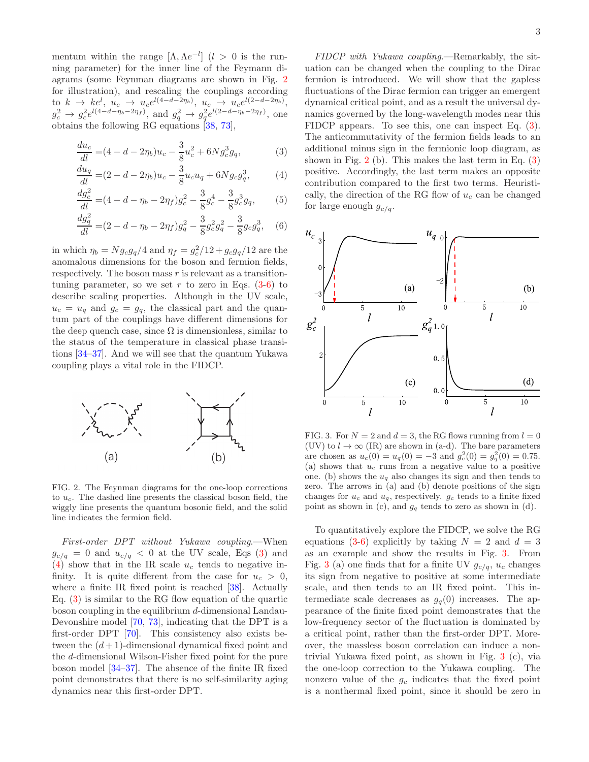mentum within the range  $[\Lambda, \Lambda e^{-l}]$   $(l > 0$  is the running parameter) for the inner line of the Feymann diagrams (some Feynman diagrams are shown in Fig. [2](#page-8-0) for illustration), and rescaling the couplings according to  $k \to ke^l$ ,  $u_c \to u_c e^{l(4-d-2\eta_b)}$ ,  $u_c \to u_c e^{l(2-d-2\eta_b)}$ ,  $g_c^2 \to g_c^2 e^{l(4-d-\eta_b-2\eta_f)}$ , and  $g_q^2 \to g_q^2 e^{l(2-d-\eta_b-2\eta_f)}$ , one obtains the following RG equations [\[38,](#page-4-10) [73\]](#page-5-11),

$$
\frac{du_c}{dl} = (4 - d - 2\eta_b)u_c - \frac{3}{8}u_c^2 + 6Ng_c^3g_q,
$$
\n(3)

$$
\frac{du_q}{dl} = (2 - d - 2\eta_b)u_c - \frac{3}{8}u_c u_q + 6Ng_c g_q^3,
$$
 (4)

$$
\frac{dg_c^2}{dl} = (4 - d - \eta_b - 2\eta_f)g_c^2 - \frac{3}{8}g_c^4 - \frac{3}{8}g_c^3g_q,\tag{5}
$$

$$
\frac{dg_q^2}{dl} = (2 - d - \eta_b - 2\eta_f)g_q^2 - \frac{3}{8}g_c^2g_q^2 - \frac{3}{8}g_cg_q^3,\quad(6)
$$

in which  $\eta_b = N g_c g_q / 4$  and  $\eta_f = g_c^2 / 12 + g_c g_q / 12$  are the anomalous dimensions for the boson and fermion fields, respectively. The boson mass  $r$  is relevant as a transitiontuning parameter, so we set r to zero in Eqs.  $(3-6)$  to describe scaling properties. Although in the UV scale,  $u_c = u_q$  and  $g_c = g_q$ , the classical part and the quantum part of the couplings have different dimensions for the deep quench case, since  $\Omega$  is dimensionless, similar to the status of the temperature in classical phase transitions [\[34](#page-4-9)[–37\]](#page-4-18). And we will see that the quantum Yukawa coupling plays a vital role in the FIDCP.



FIG. 2. The Feynman diagrams for the one-loop corrections to  $u_c$ . The dashed line presents the classical boson field, the wiggly line presents the quantum bosonic field, and the solid line indicates the fermion field.

First-order DPT without Yukawa coupling.—When  $g_{c/q} = 0$  and  $u_{c/q} < 0$  at the UV scale, Eqs [\(3\)](#page-6-1) and [\(4\)](#page-6-1) show that in the IR scale  $u_c$  tends to negative infinity. It is quite different from the case for  $u_c > 0$ , where a finite IR fixed point is reached  $[38]$ . Actually Eq.  $(3)$  is similar to the RG flow equation of the quartic boson coupling in the equilibrium d-dimensional Landau-Devonshire model [\[70](#page-5-5), [73](#page-5-11)], indicating that the DPT is a first-order DPT [\[70\]](#page-5-5). This consistency also exists between the  $(d+1)$ -dimensional dynamical fixed point and the d-dimensional Wilson-Fisher fixed point for the pure boson model [\[34](#page-4-9)[–37\]](#page-4-18). The absence of the finite IR fixed point demonstrates that there is no self-similarity aging dynamics near this first-order DPT.

FIDCP with Yukawa coupling.—Remarkably, the situation can be changed when the coupling to the Dirac fermion is introduced. We will show that the gapless fluctuations of the Dirac fermion can trigger an emergent dynamical critical point, and as a result the universal dynamics governed by the long-wavelength modes near this FIDCP appears. To see this, one can inspect Eq. [\(3\)](#page-6-1). The anticommutativity of the fermion fields leads to an additional minus sign in the fermionic loop diagram, as shown in Fig.  $2$  (b). This makes the last term in Eq.  $(3)$ positive. Accordingly, the last term makes an opposite contribution compared to the first two terms. Heuristically, the direction of the RG flow of  $u_c$  can be changed for large enough  $g_{c/q}$ .



FIG. 3. For  $N = 2$  and  $d = 3$ , the RG flows running from  $l = 0$ (UV) to  $l \to \infty$  (IR) are shown in (a-d). The bare parameters are chosen as  $u_c(0) = u_q(0) = -3$  and  $g_c^2(0) = g_q^2(0) = 0.75$ . (a) shows that  $u_c$  runs from a negative value to a positive one. (b) shows the  $u_q$  also changes its sign and then tends to zero. The arrows in (a) and (b) denote positions of the sign changes for  $u_c$  and  $u_q$ , respectively.  $g_c$  tends to a finite fixed point as shown in (c), and  $g_q$  tends to zero as shown in (d).

To quantitatively explore the FIDCP, we solve the RG equations [\(3-6\)](#page-6-1) explicitly by taking  $N = 2$  and  $d = 3$ as an example and show the results in Fig. [3.](#page-8-1) From Fig. [3](#page-8-1) (a) one finds that for a finite UV  $g_{c/q}$ ,  $u_c$  changes its sign from negative to positive at some intermediate scale, and then tends to an IR fixed point. This intermediate scale decreases as  $g_q(0)$  increases. The appearance of the finite fixed point demonstrates that the low-frequency sector of the fluctuation is dominated by a critical point, rather than the first-order DPT. Moreover, the massless boson correlation can induce a nontrivial Yukawa fixed point, as shown in Fig. [3](#page-8-1) (c), via the one-loop correction to the Yukawa coupling. The nonzero value of the  $g_c$  indicates that the fixed point is a nonthermal fixed point, since it should be zero in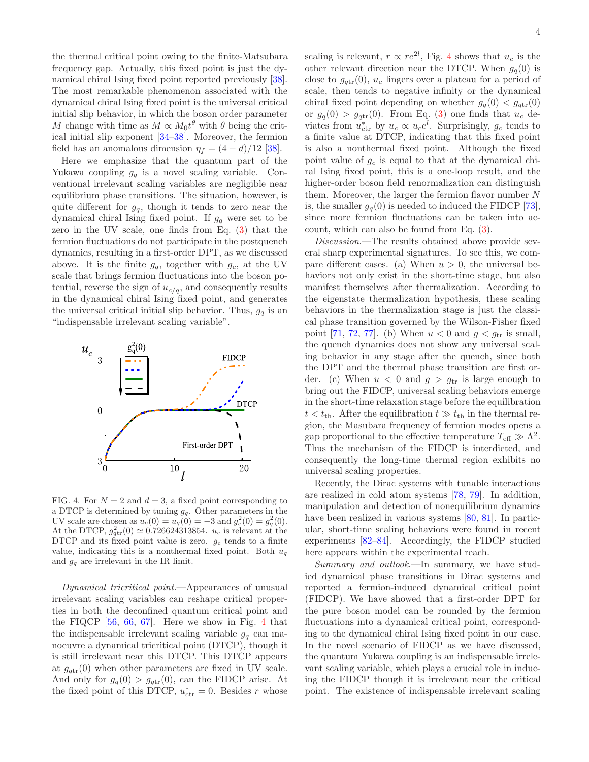the thermal critical point owing to the finite-Matsubara frequency gap. Actually, this fixed point is just the dynamical chiral Ising fixed point reported previously [\[38\]](#page-4-10). The most remarkable phenomenon associated with the dynamical chiral Ising fixed point is the universal critical initial slip behavior, in which the boson order parameter M change with time as  $M \propto M_0 t^{\theta}$  with  $\theta$  being the critical initial slip exponent [\[34](#page-4-9)[–38](#page-4-10)]. Moreover, the fermion field has an anomalous dimension  $\eta_f = (4 - d)/12$  [\[38](#page-4-10)].

Here we emphasize that the quantum part of the Yukawa coupling  $g_q$  is a novel scaling variable. Conventional irrelevant scaling variables are negligible near equilibrium phase transitions. The situation, however, is quite different for  $g_q$ , though it tends to zero near the dynamical chiral Ising fixed point. If  $g_q$  were set to be zero in the UV scale, one finds from Eq. [\(3\)](#page-6-1) that the fermion fluctuations do not participate in the postquench dynamics, resulting in a first-order DPT, as we discussed above. It is the finite  $g_q$ , together with  $g_c$ , at the UV scale that brings fermion fluctuations into the boson potential, reverse the sign of  $u_{c/q}$ , and consequently results in the dynamical chiral Ising fixed point, and generates the universal critical initial slip behavior. Thus,  $g_q$  is an "indispensable irrelevant scaling variable".



FIG. 4. For  $N = 2$  and  $d = 3$ , a fixed point corresponding to a DTCP is determined by tuning  $g_q$ . Other parameters in the UV scale are chosen as  $u_c(0) = u_q(0) = -3$  and  $g_c^2(0) = g_q^2(0)$ . At the DTCP,  $g_{\text{ptr}}^2(0) \simeq 0.726624313854$ .  $u_c$  is relevant at the DTCP and its fixed point value is zero.  $q_c$  tends to a finite value, indicating this is a nonthermal fixed point. Both  $u_q$ and  $g_q$  are irrelevant in the IR limit.

Dynamical tricritical point.—Appearances of unusual irrelevant scaling variables can reshape critical properties in both the deconfined quantum critical point and the FIQCP [\[56,](#page-5-8) [66,](#page-5-9) [67](#page-5-10)]. Here we show in Fig. [4](#page-9-0) that the indispensable irrelevant scaling variable  $g_q$  can manoeuvre a dynamical tricritical point (DTCP), though it is still irrelevant near this DTCP. This DTCP appears at  $g_{\text{str}}(0)$  when other parameters are fixed in UV scale. And only for  $g_q(0) > g_{qtr}(0)$ , can the FIDCP arise. At the fixed point of this DTCP,  $u_{\text{ctr}}^* = 0$ . Besides r whose

scaling is relevant,  $r \propto re^{2l}$ , Fig. [4](#page-9-0) shows that  $u_c$  is the other relevant direction near the DTCP. When  $g_q(0)$  is close to  $g_{\text{ptr}}(0)$ ,  $u_c$  lingers over a plateau for a period of scale, then tends to negative infinity or the dynamical chiral fixed point depending on whether  $g_q(0) < g_{\text{ptr}}(0)$ or  $g_q(0) > g_{qtr}(0)$ . From Eq. [\(3\)](#page-6-1) one finds that  $u_c$  deviates from  $u_{\text{ctr}}^*$  by  $u_c \propto u_c e^l$ . Surprisingly,  $g_c$  tends to a finite value at DTCP, indicating that this fixed point is also a nonthermal fixed point. Although the fixed point value of  $g_c$  is equal to that at the dynamical chiral Ising fixed point, this is a one-loop result, and the higher-order boson field renormalization can distinguish them. Moreover, the larger the fermion flavor number  $N$ is, the smaller  $g_q(0)$  is needed to induced the FIDCP [\[73\]](#page-5-11), since more fermion fluctuations can be taken into account, which can also be found from Eq. [\(3\)](#page-6-1).

Discussion.—The results obtained above provide several sharp experimental signatures. To see this, we compare different cases. (a) When  $u > 0$ , the universal behaviors not only exist in the short-time stage, but also manifest themselves after thermalization. According to the eigenstate thermalization hypothesis, these scaling behaviors in the thermalization stage is just the classical phase transition governed by the Wilson-Fisher fixed point [\[71,](#page-5-6) [72](#page-5-7), [77](#page-5-15)]. (b) When  $u < 0$  and  $g < g_{tr}$  is small, the quench dynamics does not show any universal scaling behavior in any stage after the quench, since both the DPT and the thermal phase transition are first order. (c) When  $u < 0$  and  $g > g_{tr}$  is large enough to bring out the FIDCP, universal scaling behaviors emerge in the short-time relaxation stage before the equilibration  $t < t_{\text{th}}$ . After the equilibration  $t \gg t_{\text{th}}$  in the thermal region, the Masubara frequency of fermion modes opens a gap proportional to the effective temperature  $T_{\text{eff}} \gg \Lambda^2$ . Thus the mechanism of the FIDCP is interdicted, and consequently the long-time thermal region exhibits no universal scaling properties.

Recently, the Dirac systems with tunable interactions are realized in cold atom systems [\[78,](#page-5-16) [79\]](#page-5-17). In addition, manipulation and detection of nonequilibrium dynamics have been realized in various systems [\[80](#page-5-18), [81\]](#page-5-19). In particular, short-time scaling behaviors were found in recent experiments [\[82](#page-5-20)[–84\]](#page-5-21). Accordingly, the FIDCP studied here appears within the experimental reach.

Summary and outlook.—In summary, we have studied dynamical phase transitions in Dirac systems and reported a fermion-induced dynamical critical point (FIDCP). We have showed that a first-order DPT for the pure boson model can be rounded by the fermion fluctuations into a dynamical critical point, corresponding to the dynamical chiral Ising fixed point in our case. In the novel scenario of FIDCP as we have discussed, the quantum Yukawa coupling is an indispensable irrelevant scaling variable, which plays a crucial role in inducing the FIDCP though it is irrelevant near the critical point. The existence of indispensable irrelevant scaling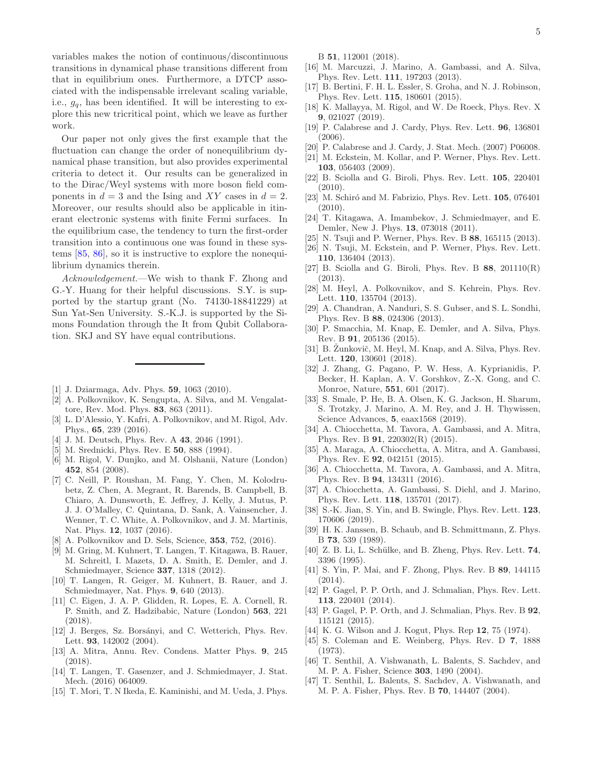variables makes the notion of continuous/discontinuous transitions in dynamical phase transitions different from that in equilibrium ones. Furthermore, a DTCP associated with the indispensable irrelevant scaling variable, i.e.,  $g_q$ , has been identified. It will be interesting to explore this new tricritical point, which we leave as further work.

Our paper not only gives the first example that the fluctuation can change the order of nonequilibrium dynamical phase transition, but also provides experimental criteria to detect it. Our results can be generalized in to the Dirac/Weyl systems with more boson field components in  $d = 3$  and the Ising and XY cases in  $d = 2$ . Moreover, our results should also be applicable in itinerant electronic systems with finite Fermi surfaces. In the equilibrium case, the tendency to turn the first-order transition into a continuous one was found in these systems [\[85,](#page-5-22) [86\]](#page-5-23), so it is instructive to explore the nonequilibrium dynamics therein.

Acknowledgement.—We wish to thank F. Zhong and G.-Y. Huang for their helpful discussions. S.Y. is supported by the startup grant (No. 74130-18841229) at Sun Yat-Sen University. S.-K.J. is supported by the Simons Foundation through the It from Qubit Collaboration. SKJ and SY have equal contributions.

- <span id="page-4-0"></span>[1] J. Dziarmaga, Adv. Phys. 59, 1063 (2010).
- [2] A. Polkovnikov, K. Sengupta, A. Silva, and M. Vengalattore, Rev. Mod. Phys. 83, 863 (2011).
- <span id="page-4-1"></span>[3] L. D'Alessio, Y. Kafri, A. Polkovnikov, and M. Rigol, Adv. Phys., 65, 239 (2016).
- <span id="page-4-2"></span>[4] J. M. Deutsch, Phys. Rev. A **43**, 2046 (1991).
- [5] M. Srednicki, Phys. Rev. E 50, 888 (1994).
- <span id="page-4-4"></span>[6] M. Rigol, V. Dunjko, and M. Olshanii, Nature (London) 452, 854 (2008).
- [7] C. Neill, P. Roushan, M. Fang, Y. Chen, M. Kolodrubetz, Z. Chen, A. Megrant, R. Barends, B. Campbell, B. Chiaro, A. Dunsworth, E. Jeffrey, J. Kelly, J. Mutus, P. J. J. O'Malley, C. Quintana, D. Sank, A. Vainsencher, J. Wenner, T. C. White, A. Polkovnikov, and J. M. Martinis, Nat. Phys. 12, 1037 (2016).
- <span id="page-4-3"></span>[8] A. Polkovnikov and D. Sels, Science, 353, 752, (2016).
- <span id="page-4-5"></span>[9] M. Gring, M. Kuhnert, T. Langen, T. Kitagawa, B. Rauer, M. Schreitl, I. Mazets, D. A. Smith, E. Demler, and J. Schmiedmayer, Science 337, 1318 (2012).
- [10] T. Langen, R. Geiger, M. Kuhnert, B. Rauer, and J. Schmiedmayer, Nat. Phys. 9, 640 (2013).
- [11] C. Eigen, J. A. P. Glidden, R. Lopes, E. A. Cornell, R. P. Smith, and Z. Hadzibabic, Nature (London) 563, 221 (2018).
- [12] J. Berges, Sz. Borsányi, and C. Wetterich, Phys. Rev. Lett. 93, 142002 (2004).
- [13] A. Mitra, Annu. Rev. Condens. Matter Phys. 9, 245 (2018).
- [14] T. Langen, T. Gasenzer, and J. Schmiedmayer, J. Stat. Mech. (2016) 064009.
- [15] T. Mori, T. N Ikeda, E. Kaminishi, and M. Ueda, J. Phys.

B 51, 112001 (2018).

- [16] M. Marcuzzi, J. Marino, A. Gambassi, and A. Silva, Phys. Rev. Lett. 111, 197203 (2013).
- [17] B. Bertini, F. H. L. Essler, S. Groha, and N. J. Robinson, Phys. Rev. Lett. 115, 180601 (2015).
- <span id="page-4-6"></span>[18] K. Mallayya, M. Rigol, and W. De Roeck, Phys. Rev. X 9, 021027 (2019).
- <span id="page-4-7"></span>[19] P. Calabrese and J. Cardy, Phys. Rev. Lett. **96**, 136801 (2006).
- [20] P. Calabrese and J. Cardy, J. Stat. Mech. (2007) P06008.
- [21] M. Eckstein, M. Kollar, and P. Werner, Phys. Rev. Lett. 103, 056403 (2009).
- [22] B. Sciolla and G. Biroli, Phys. Rev. Lett. 105, 220401  $(2010)$ .
- [23] M. Schiró and M. Fabrizio, Phys. Rev. Lett.  $105$ , 076401 (2010).
- [24] T. Kitagawa, A. Imambekov, J. Schmiedmayer, and E. Demler, New J. Phys. 13, 073018 (2011).
- [25] N. Tsuji and P. Werner, Phys. Rev. B 88, 165115 (2013).
- [26] N. Tsuji, M. Eckstein, and P. Werner, Phys. Rev. Lett. 110, 136404 (2013).
- [27] B. Sciolla and G. Biroli, Phys. Rev. B  $88$ ,  $201110(R)$ (2013).
- [28] M. Heyl, A. Polkovnikov, and S. Kehrein, Phys. Rev. Lett. 110, 135704 (2013).
- [29] A. Chandran, A. Nanduri, S. S. Gubser, and S. L. Sondhi, Phys. Rev. B 88, 024306 (2013).
- [30] P. Smacchia, M. Knap, E. Demler, and A. Silva, Phys. Rev. B 91, 205136 (2015).
- [31] B. Žunkovič, M. Heyl, M. Knap, and A. Silva, Phys. Rev. Lett. 120, 130601 (2018).
- [32] J. Zhang, G. Pagano, P. W. Hess, A. Kyprianidis, P. Becker, H. Kaplan, A. V. Gorshkov, Z.-X. Gong, and C. Monroe, Nature, 551, 601 (2017).
- <span id="page-4-8"></span>[33] S. Smale, P. He, B. A. Olsen, K. G. Jackson, H. Sharum, S. Trotzky, J. Marino, A. M. Rey, and J. H. Thywissen, Science Advances, 5, eaax1568 (2019).
- <span id="page-4-9"></span>[34] A. Chiocchetta, M. Tavora, A. Gambassi, and A. Mitra, Phys. Rev. B 91, 220302(R) (2015).
- [35] A. Maraga, A. Chiocchetta, A. Mitra, and A. Gambassi, Phys. Rev. E 92, 042151 (2015).
- [36] A. Chiocchetta, M. Tavora, A. Gambassi, and A. Mitra, Phys. Rev. B 94, 134311 (2016).
- <span id="page-4-18"></span>[37] A. Chiocchetta, A. Gambassi, S. Diehl, and J. Marino, Phys. Rev. Lett. 118, 135701 (2017).
- <span id="page-4-10"></span>[38] S.-K. Jian, S. Yin, and B. Swingle, Phys. Rev. Lett. **123**, 170606 (2019).
- <span id="page-4-11"></span>[39] H. K. Janssen, B. Schaub, and B. Schmittmann, Z. Phys. B 73, 539 (1989).
- <span id="page-4-12"></span>[40] Z. B. Li, L. Schülke, and B. Zheng, Phys. Rev. Lett. 74, 3396 (1995).
- <span id="page-4-13"></span>[41] S. Yin, P. Mai, and F. Zhong, Phys. Rev. B 89, 144115 (2014).
- [42] P. Gagel, P. P. Orth, and J. Schmalian, Phys. Rev. Lett. 113, 220401 (2014).
- <span id="page-4-14"></span>[43] P. Gagel, P. P. Orth, and J. Schmalian, Phys. Rev. B **92**, 115121 (2015).
- <span id="page-4-15"></span>[44] K. G. Wilson and J. Kogut, Phys. Rep 12, 75 (1974).
- <span id="page-4-16"></span>[45] S. Coleman and E. Weinberg, Phys. Rev. D 7, 1888 (1973).
- <span id="page-4-17"></span>[46] T. Senthil, A. Vishwanath, L. Balents, S. Sachdev, and M. P. A. Fisher, Science 303, 1490 (2004).
- [47] T. Senthil, L. Balents, S. Sachdev, A. Vishwanath, and M. P. A. Fisher, Phys. Rev. B 70, 144407 (2004).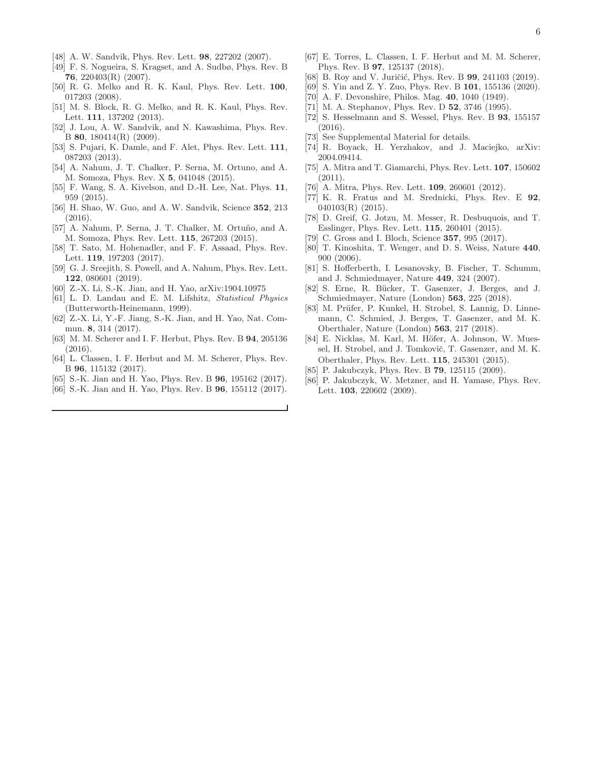- [48] A. W. Sandvik, Phys. Rev. Lett. 98, 227202 (2007).
- [49] F. S. Nogueira, S. Kragset, and A. Sudbø, Phys. Rev. B 76, 220403(R) (2007).
- [50] R. G. Melko and R. K. Kaul, Phys. Rev. Lett. 100, 017203 (2008).
- [51] M. S. Block, R. G. Melko, and R. K. Kaul, Phys. Rev. Lett. 111, 137202 (2013).
- [52] J. Lou, A. W. Sandvik, and N. Kawashima, Phys. Rev. B 80, 180414(R) (2009).
- [53] S. Pujari, K. Damle, and F. Alet, Phys. Rev. Lett. 111, 087203 (2013).
- [54] A. Nahum, J. T. Chalker, P. Serna, M. Ortuno, and A. M. Somoza, Phys. Rev. X 5, 041048 (2015).
- [55] F. Wang, S. A. Kivelson, and D.-H. Lee, Nat. Phys. 11, 959 (2015).
- <span id="page-5-8"></span>[56] H. Shao, W. Guo, and A. W. Sandvik, Science **352**, 213 (2016).
- [57] A. Nahum, P. Serna, J. T. Chalker, M. Ortuño, and A. M. Somoza, Phys. Rev. Lett. 115, 267203 (2015).
- [58] T. Sato, M. Hohenadler, and F. F. Assaad, Phys. Rev. Lett. 119, 197203 (2017).
- [59] G. J. Sreejith, S. Powell, and A. Nahum, Phys. Rev. Lett. 122, 080601 (2019).
- <span id="page-5-0"></span>[60] Z.-X. Li, S.-K. Jian, and H. Yao, arXiv:1904.10975
- <span id="page-5-1"></span>[61] L. D. Landau and E. M. Lifshitz, Statistical Physics (Butterworth-Heinemann, 1999).
- <span id="page-5-2"></span>[62] Z.-X. Li, Y.-F. Jiang, S.-K. Jian, and H. Yao, Nat. Commun. 8, 314 (2017).
- <span id="page-5-3"></span>[63] M. M. Scherer and I. F. Herbut, Phys. Rev. B 94, 205136 (2016).
- [64] L. Classen, I. F. Herbut and M. M. Scherer, Phys. Rev. B 96, 115132 (2017).
- [65] S.-K. Jian and H. Yao, Phys. Rev. B **96**, 195162 (2017).
- <span id="page-5-9"></span>[66] S.-K. Jian and H. Yao, Phys. Rev. B **96**, 155112 (2017).
- <span id="page-5-10"></span>[67] E. Torres, L. Classen, I. F. Herbut and M. M. Scherer, Phys. Rev. B 97, 125137 (2018).
- [68] B. Roy and V. Juričić, Phys. Rev. B 99, 241103 (2019).
- <span id="page-5-4"></span>[69] S. Yin and Z. Y. Zuo, Phys. Rev. B 101, 155136 (2020).
- <span id="page-5-5"></span>[70] A. F. Devonshire, Philos. Mag. 40, 1040 (1949).
- <span id="page-5-6"></span>[71] M. A. Stephanov, Phys. Rev. D **52**, 3746 (1995).
- <span id="page-5-7"></span>[72] S. Hesselmann and S. Wessel, Phys. Rev. B 93, 155157 (2016).
- <span id="page-5-11"></span>[73] See Supplemental Material for details.
- <span id="page-5-12"></span>[74] R. Boyack, H. Yerzhakov, and J. Maciejko, arXiv: 2004.09414.
- <span id="page-5-13"></span>[75] A. Mitra and T. Giamarchi, Phys. Rev. Lett. 107, 150602 (2011).
- <span id="page-5-14"></span>[76] A. Mitra, Phys. Rev. Lett. **109**, 260601 (2012).
- <span id="page-5-15"></span>[77] K. R. Fratus and M. Srednicki, Phys. Rev. E 92, 040103(R) (2015).
- <span id="page-5-16"></span>[78] D. Greif, G. Jotzu, M. Messer, R. Desbuquois, and T. Esslinger, Phys. Rev. Lett. 115, 260401 (2015).
- <span id="page-5-17"></span>[79] C. Gross and I. Bloch, Science **357**, 995 (2017).
- <span id="page-5-18"></span>[80] T. Kinoshita, T. Wenger, and D. S. Weiss, Nature 440, 900 (2006).
- <span id="page-5-19"></span>[81] S. Hofferberth, I. Lesanovsky, B. Fischer, T. Schumm, and J. Schmiedmayer, Nature 449, 324 (2007).
- <span id="page-5-20"></span>[82] S. Erne, R. Bücker, T. Gasenzer, J. Berges, and J. Schmiedmayer, Nature (London) 563, 225 (2018).
- [83] M. Prüfer, P. Kunkel, H. Strobel, S. Lannig, D. Linnemann, C. Schmied, J. Berges, T. Gasenzer, and M. K. Oberthaler, Nature (London) 563, 217 (2018).
- <span id="page-5-21"></span>[84] E. Nicklas, M. Karl, M. Höfer, A. Johnson, W. Muessel, H. Strobel, and J. Tomkovič, T. Gasenzer, and M. K. Oberthaler, Phys. Rev. Lett. 115, 245301 (2015).
- <span id="page-5-22"></span>[85] P. Jakubczyk, Phys. Rev. B **79**, 125115 (2009).
- <span id="page-5-23"></span>[86] P. Jakubczyk, W. Metzner, and H. Yamase, Phys. Rev. Lett. 103, 220602 (2009).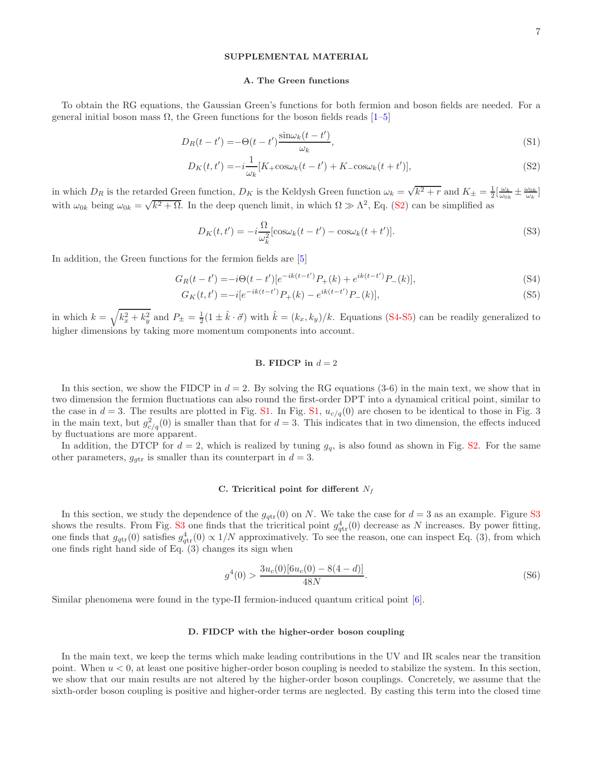## SUPPLEMENTAL MATERIAL

#### A. The Green functions

To obtain the RG equations, the Gaussian Green's functions for both fermion and boson fields are needed. For a general initial boson mass Ω, the Green functions for the boson fields reads [\[1](#page-7-1)[–5](#page-7-2)]

<span id="page-6-0"></span>
$$
D_R(t - t') = -\Theta(t - t') \frac{\sin \omega_k (t - t')}{\omega_k},\tag{S1}
$$

$$
D_K(t, t') = -i\frac{1}{\omega_k}[K_+\cos\omega_k(t - t') + K_-\cos\omega_k(t + t')],\tag{S2}
$$

in which  $D_R$  is the retarded Green function,  $D_K$  is the Keldysh Green function  $\omega_k = \sqrt{k^2 + r}$  and  $K_{\pm} = \frac{1}{2} \left[ \frac{\omega_k}{\omega_{0k}} \pm \frac{\omega_{0k}}{\omega_k} \right]$ with  $\omega_{0k}$  being  $\omega_{0k} = \sqrt{k^2 + \Omega}$ . In the deep quench limit, in which  $\Omega \gg \Lambda^2$ , Eq. [\(S2\)](#page-6-0) can be simplified as

<span id="page-6-1"></span>
$$
D_K(t, t') = -i\frac{\Omega}{\omega_k^2} [\cos \omega_k (t - t') - \cos \omega_k (t + t')]. \tag{S3}
$$

In addition, the Green functions for the fermion fields are [\[5\]](#page-7-2)

<span id="page-6-2"></span>
$$
G_R(t - t') = -i\Theta(t - t')[e^{-ik(t - t')}P_+(k) + e^{ik(t - t')}P_-(k)],
$$
\n(S4)

$$
G_K(t, t') = -i[e^{-ik(t - t')}P_+(k) - e^{ik(t - t')}P_-(k)],
$$
\n(S5)

in which  $k = \sqrt{k_x^2 + k_y^2}$  and  $P_{\pm} = \frac{1}{2}(1 \pm \hat{k} \cdot \vec{\sigma})$  with  $\hat{k} = (k_x, k_y)/k$ . Equations [\(S4-S5\)](#page-6-2) can be readily generalized to higher dimensions by taking more momentum components into account.

## B. FIDCP in  $d = 2$

In this section, we show the FIDCP in  $d = 2$ . By solving the RG equations (3-6) in the main text, we show that in two dimension the fermion fluctuations can also round the first-order DPT into a dynamical critical point, similar to the case in  $d = 3$ . The results are plotted in Fig. [S1.](#page-7-0) In Fig. [S1,](#page-7-0)  $u_{c/q}(0)$  are chosen to be identical to those in Fig. 3 in the main text, but  $g_{c/q}^2(0)$  is smaller than that for  $d=3$ . This indicates that in two dimension, the effects induced by fluctuations are more apparent.

In addition, the DTCP for  $d = 2$ , which is realized by tuning  $g_q$ , is also found as shown in Fig. [S2.](#page-8-0) For the same other parameters,  $g_{gtr}$  is smaller than its counterpart in  $d = 3$ .

#### C. Tricritical point for different  $N_f$

In this section, we study the dependence of the  $g_{\text{ptr}}(0)$  on N. We take the case for  $d=3$  as an example. Figure [S3](#page-8-1) shows the results. From Fig. [S3](#page-8-1) one finds that the tricritical point  $g_{\text{qtr}}^4(0)$  decrease as N increases. By power fitting, one finds that  $g_{\text{qtr}}(0)$  satisfies  $g_{\text{qtr}}^4(0) \propto 1/N$  approximatively. To see the reason, one can inspect Eq. (3), from which one finds right hand side of Eq. (3) changes its sign when

$$
g^{4}(0) > \frac{3u_{c}(0)[6u_{c}(0) - 8(4 - d)]}{48N}.
$$
\n(S6)

Similar phenomena were found in the type-II fermion-induced quantum critical point [\[6](#page-7-3)].

### D. FIDCP with the higher-order boson coupling

In the main text, we keep the terms which make leading contributions in the UV and IR scales near the transition point. When  $u < 0$ , at least one positive higher-order boson coupling is needed to stabilize the system. In this section, we show that our main results are not altered by the higher-order boson couplings. Concretely, we assume that the sixth-order boson coupling is positive and higher-order terms are neglected. By casting this term into the closed time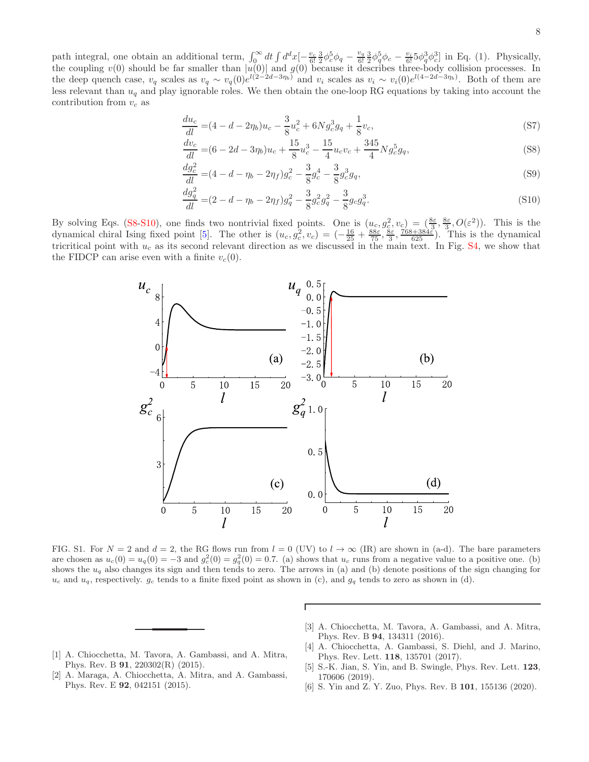8

path integral, one obtain an additional term,  $\int_0^\infty dt \int d^dx \left[-\frac{v_c}{6!} \frac{3}{2} \phi_c^5 \phi_q - \frac{v_q}{6!} \right]$  $\frac{v_q}{6!} \frac{3}{2} \phi_q^5 \phi_c - \frac{v_i}{6!} 5 \phi_q^3 \phi_c^3$  in Eq. (1). Physically, the coupling  $v(0)$  should be far smaller than  $|u(0)|$  and  $g(0)$  because it describes three-body collision processes. In the deep quench case,  $v_q$  scales as  $v_q \sim v_q(0)e^{l(2-2d-3\eta_b)}$  and  $v_i$  scales as  $v_i \sim v_i(0)e^{l(4-2d-3\eta_b)}$ . Both of them are less relevant than  $u_q$  and play ignorable roles. We then obtain the one-loop RG equations by taking into account the contribution from  $v_c$  as

<span id="page-7-4"></span>
$$
\frac{du_c}{dl} = (4 - d - 2\eta_b)u_c - \frac{3}{8}u_c^2 + 6Ng_c^3g_q + \frac{1}{8}v_c,\tag{S7}
$$

$$
\frac{dv_c}{dl} = (6 - 2d - 3\eta_b)u_c + \frac{15}{8}u_c^3 - \frac{15}{4}u_cv_c + \frac{345}{4}Ng_c^5g_q,\tag{S8}
$$

$$
\frac{dg_c^2}{dl} = (4 - d - \eta_b - 2\eta_f)g_c^2 - \frac{3}{8}g_c^4 - \frac{3}{8}g_c^3g_q,\tag{S9}
$$

$$
\frac{dg_q^2}{dl} = (2 - d - \eta_b - 2\eta_f)g_q^2 - \frac{3}{8}g_c^2g_q^2 - \frac{3}{8}g_cg_q^3.
$$
\n(S10)

By solving Eqs. [\(S8-S10\)](#page-7-4), one finds two nontrivial fixed points. One is  $(u_c, g_c^2, v_c) = \frac{8\varepsilon}{3}, \frac{8\varepsilon}{3}, O(\varepsilon^2)$ . This is the dynamical chiral Ising fixed point [\[5](#page-7-2)]. The other is  $(u_c, g_c^2, v_c) = \left(-\frac{16}{25} + \frac{88\varepsilon}{75}, \frac{3\varepsilon}{5}, \frac{768+384\varepsilon}{625}\right)$ . This is the dynamical tricritical point with  $u_c$  as its second relevant direction as we discussed in the main text. In Fig.  $S4$ , we show that the FIDCP can arise even with a finite  $v_c(0)$ .



<span id="page-7-0"></span>FIG. S1. For  $N = 2$  and  $d = 2$ , the RG flows run from  $l = 0$  (UV) to  $l \to \infty$  (IR) are shown in (a-d). The bare parameters are chosen as  $u_c(0) = u_q(0) = -3$  and  $g_c^2(0) = g_q^2(0) = 0.7$ . (a) shows that  $u_c$  runs from a negative value to a positive one. (b) shows the  $u_q$  also changes its sign and then tends to zero. The arrows in (a) and (b) denote positions of the sign changing for  $u_c$  and  $u_q$ , respectively.  $g_c$  tends to a finite fixed point as shown in (c), and  $g_q$  tends to zero as shown in (d).

Г

- <span id="page-7-1"></span>[1] A. Chiocchetta, M. Tavora, A. Gambassi, and A. Mitra, Phys. Rev. B 91, 220302(R) (2015).
- [2] A. Maraga, A. Chiocchetta, A. Mitra, and A. Gambassi, Phys. Rev. E 92, 042151 (2015).
- [3] A. Chiocchetta, M. Tavora, A. Gambassi, and A. Mitra, Phys. Rev. B 94, 134311 (2016).
- [4] A. Chiocchetta, A. Gambassi, S. Diehl, and J. Marino, Phys. Rev. Lett. 118, 135701 (2017).
- <span id="page-7-2"></span>[5] S.-K. Jian, S. Yin, and B. Swingle, Phys. Rev. Lett. 123, 170606 (2019).
- <span id="page-7-3"></span>[6] S. Yin and Z. Y. Zuo, Phys. Rev. B 101, 155136 (2020).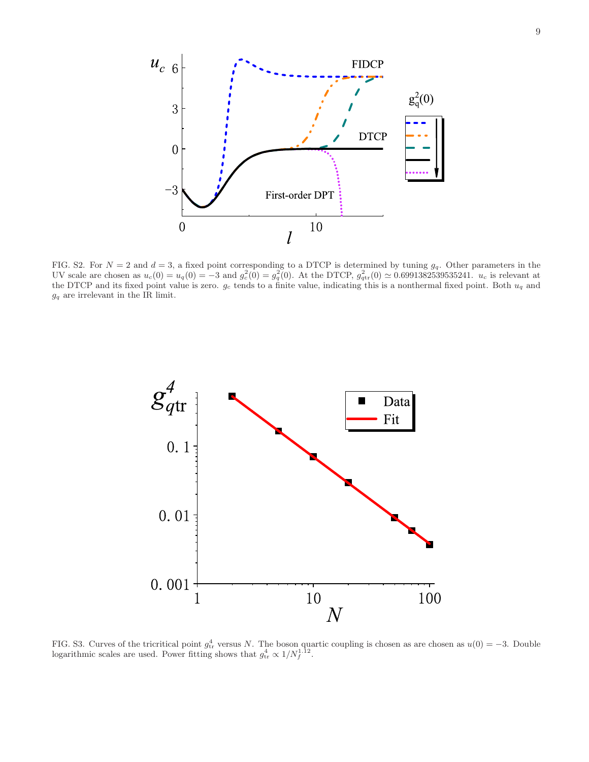

<span id="page-8-0"></span>FIG. S2. For  $N = 2$  and  $d = 3$ , a fixed point corresponding to a DTCP is determined by tuning  $g_q$ . Other parameters in the UV scale are chosen as  $u_c(0) = u_q(0) = -3$  and  $g_c^2(0) = g_q^2(0)$ . At the DTCP,  $g_{qtr}^2(0) \simeq 0.6991382539535241$ .  $u_c$  is relevant at the DTCP and its fixed point value is zero.  $g_c$  tends to a finite value, indicating this is a nonthermal fixed point. Both  $u_q$  and  $g_q$  are irrelevant in the IR limit.



<span id="page-8-1"></span>FIG. S3. Curves of the tricritical point  $g_{tr}^4$  versus N. The boson quartic coupling is chosen as are chosen as  $u(0) = -3$ . Double logarithmic scales are used. Power fitting shows that  $g_{\text{tr}}^4 \propto 1/N_f^{1.12}$ .